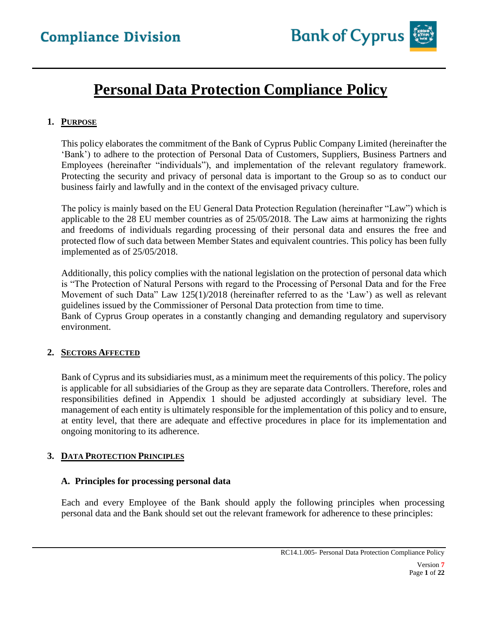

## **Personal Data Protection Compliance Policy**

## **1. PURPOSE**

This policy elaborates the commitment of the Bank of Cyprus Public Company Limited (hereinafter the 'Bank') to adhere to the protection of Personal Data of Customers, Suppliers, Business Partners and Employees (hereinafter "individuals"), and implementation of the relevant regulatory framework. Protecting the security and privacy of personal data is important to the Group so as to conduct our business fairly and lawfully and in the context of the envisaged privacy culture.

The policy is mainly based on the EU General Data Protection Regulation (hereinafter "Law") which is applicable to the 28 EU member countries as of 25/05/2018. The Law aims at harmonizing the rights and freedoms of individuals regarding processing of their personal data and ensures the free and protected flow of such data between Member States and equivalent countries. This policy has been fully implemented as of 25/05/2018.

Additionally, this policy complies with the national legislation on the protection of personal data which is "The Protection of Natural Persons with regard to the Processing of Personal Data and for the Free Movement of such Data" Law 125(1)/2018 (hereinafter referred to as the 'Law') as well as relevant guidelines issued by the Commissioner of Personal Data protection from time to time. Bank of Cyprus Group operates in a constantly changing and demanding regulatory and supervisory environment.

#### **2. SECTORS AFFECTED**

Bank of Cyprus and its subsidiaries must, as a minimum meet the requirements of this policy. The policy is applicable for all subsidiaries of the Group as they are separate data Controllers. Therefore, roles and responsibilities defined in Appendix 1 should be adjusted accordingly at subsidiary level. The management of each entity is ultimately responsible for the implementation of this policy and to ensure, at entity level, that there are adequate and effective procedures in place for its implementation and ongoing monitoring to its adherence.

## **3. DATA PROTECTION PRINCIPLES**

#### **A. Principles for processing personal data**

Each and every Employee of the Bank should apply the following principles when processing personal data and the Bank should set out the relevant framework for adherence to these principles: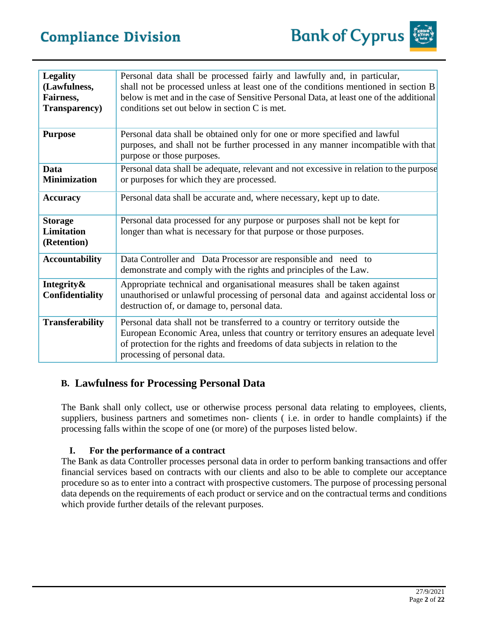

| <b>Legality</b><br>(Lawfulness,<br>Fairness,<br>Transparency) | Personal data shall be processed fairly and lawfully and, in particular,<br>shall not be processed unless at least one of the conditions mentioned in section B<br>below is met and in the case of Sensitive Personal Data, at least one of the additional<br>conditions set out below in section C is met. |
|---------------------------------------------------------------|-------------------------------------------------------------------------------------------------------------------------------------------------------------------------------------------------------------------------------------------------------------------------------------------------------------|
| <b>Purpose</b>                                                | Personal data shall be obtained only for one or more specified and lawful<br>purposes, and shall not be further processed in any manner incompatible with that<br>purpose or those purposes.                                                                                                                |
| Data<br><b>Minimization</b>                                   | Personal data shall be adequate, relevant and not excessive in relation to the purpose<br>or purposes for which they are processed.                                                                                                                                                                         |
| <b>Accuracy</b>                                               | Personal data shall be accurate and, where necessary, kept up to date.                                                                                                                                                                                                                                      |
| <b>Storage</b><br>Limitation<br>(Retention)                   | Personal data processed for any purpose or purposes shall not be kept for<br>longer than what is necessary for that purpose or those purposes.                                                                                                                                                              |
| <b>Accountability</b>                                         | Data Controller and Data Processor are responsible and need to<br>demonstrate and comply with the rights and principles of the Law.                                                                                                                                                                         |
| Integrity&<br><b>Confidentiality</b>                          | Appropriate technical and organisational measures shall be taken against<br>unauthorised or unlawful processing of personal data and against accidental loss or<br>destruction of, or damage to, personal data.                                                                                             |
| <b>Transferability</b>                                        | Personal data shall not be transferred to a country or territory outside the<br>European Economic Area, unless that country or territory ensures an adequate level<br>of protection for the rights and freedoms of data subjects in relation to the<br>processing of personal data.                         |

## **B. Lawfulness for Processing Personal Data**

The Bank shall only collect, use or otherwise process personal data relating to employees, clients, suppliers, business partners and sometimes non- clients ( i.e. in order to handle complaints) if the processing falls within the scope of one (or more) of the purposes listed below.

## **I. For the performance of a contract**

The Bank as data Controller processes personal data in order to perform banking transactions and offer financial services based on contracts with our clients and also to be able to complete our acceptance procedure so as to enter into a contract with prospective customers. The purpose of processing personal data depends on the requirements of each product or service and on the contractual terms and conditions which provide further details of the relevant purposes.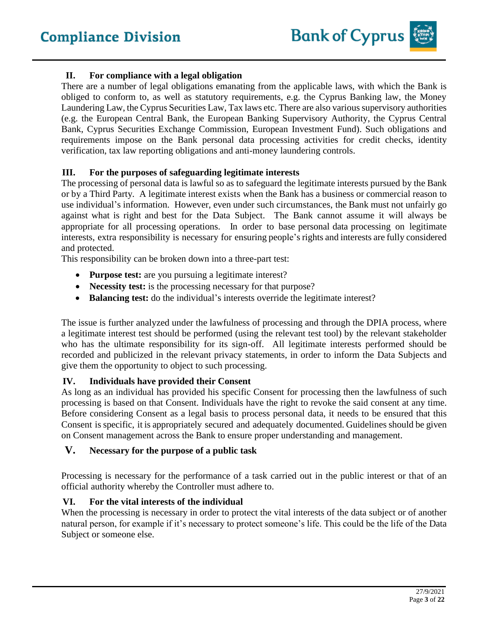## **II. For compliance with a legal obligation**

There are a number of legal obligations emanating from the applicable laws, with which the Bank is obliged to conform to, as well as statutory requirements, e.g. the Cyprus Banking law, the Money Laundering Law, the Cyprus Securities Law, Tax laws etc. There are also various supervisory authorities (e.g. the European Central Bank, the European Banking Supervisory Authority, the Cyprus Central Bank, Cyprus Securities Exchange Commission, European Investment Fund). Such obligations and requirements impose on the Bank personal data processing activities for credit checks, identity verification, tax law reporting obligations and anti-money laundering controls.

#### **III. For the purposes of safeguarding legitimate interests**

The processing of personal data is lawful so as to safeguard the legitimate interests pursued by the Bank or by a Third Party. A legitimate interest exists when the Bank has a business or commercial reason to use individual's information. However, even under such circumstances, the Bank must not unfairly go against what is right and best for the Data Subject. The Bank cannot assume it will always be appropriate for all processing operations. In order to base personal data processing on legitimate interests, extra responsibility is necessary for ensuring people's rights and interests are fully considered and protected.

This responsibility can be broken down into a three-part test:

- **Purpose test:** are you pursuing a legitimate interest?
- **Necessity test:** is the processing necessary for that purpose?
- **Balancing test:** do the individual's interests override the legitimate interest?

The issue is further analyzed under the lawfulness of processing and through the DPIA process, where a legitimate interest test should be performed (using the relevant test tool) by the relevant stakeholder who has the ultimate responsibility for its sign-off. All legitimate interests performed should be recorded and publicized in the relevant privacy statements, in order to inform the Data Subjects and give them the opportunity to object to such processing.

#### **IV. Individuals have provided their Consent**

As long as an individual has provided his specific Consent for processing then the lawfulness of such processing is based on that Consent. Individuals have the right to revoke the said consent at any time. Before considering Consent as a legal basis to process personal data, it needs to be ensured that this Consent is specific, it is appropriately secured and adequately documented. Guidelines should be given on Consent management across the Bank to ensure proper understanding and management.

#### **V. Necessary for the purpose of a public task**

Processing is necessary for the performance of a task carried out in the public interest or that of an official authority whereby the Controller must adhere to.

#### **VI. For the vital interests of the individual**

When the processing is necessary in order to protect the vital interests of the data subject or of another natural person, for example if it's necessary to protect someone's life. This could be the life of the Data Subject or someone else.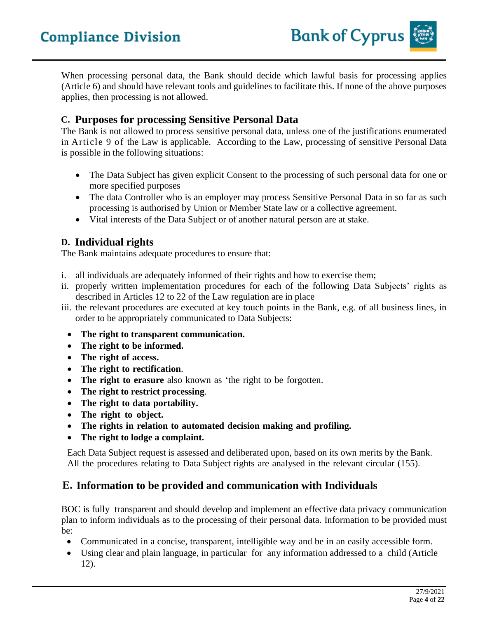When processing personal data, the Bank should decide which lawful basis for processing applies (Article 6) and should have relevant tools and guidelines to facilitate this. If none of the above purposes applies, then processing is not allowed.

## **C. Purposes for processing Sensitive Personal Data**

The Bank is not allowed to process sensitive personal data, unless one of the justifications enumerated in Article 9 of the Law is applicable. According to the Law, processing of sensitive Personal Data is possible in the following situations:

- The Data Subject has given explicit Consent to the processing of such personal data for one or more specified purposes
- The data Controller who is an employer may process Sensitive Personal Data in so far as such processing is authorised by Union or Member State law or a collective agreement.
- Vital interests of the Data Subject or of another natural person are at stake.

## **D. Individual rights**

The Bank maintains adequate procedures to ensure that:

- i. all individuals are adequately informed of their rights and how to exercise them;
- ii. properly written implementation procedures for each of the following Data Subjects' rights as described in Articles 12 to 22 of the Law regulation are in place
- iii. the relevant procedures are executed at key touch points in the Bank, e.g. of all business lines, in order to be appropriately communicated to Data Subjects:
	- **The right to transparent communication.**
	- **The right to be informed.**
	- **The right of access.**
	- **The right to rectification**.
	- **The right to erasure** also known as 'the right to be forgotten.
	- **The right to restrict processing**.
	- **The right to data portability.**
	- **The right to object.**
	- **The rights in relation to automated decision making and profiling.**
	- **The right to lodge a complaint.**

Each Data Subject request is assessed and deliberated upon, based on its own merits by the Bank. All the procedures relating to Data Subject rights are analysed in the relevant circular (155).

## **E. Information to be provided and communication with Individuals**

BOC is fully transparent and should develop and implement an effective data privacy communication plan to inform individuals as to the processing of their personal data. Information to be provided must be:

- Communicated in a concise, transparent, intelligible way and be in an easily accessible form.
- Using clear and plain language, in particular for any information addressed to a child (Article 12).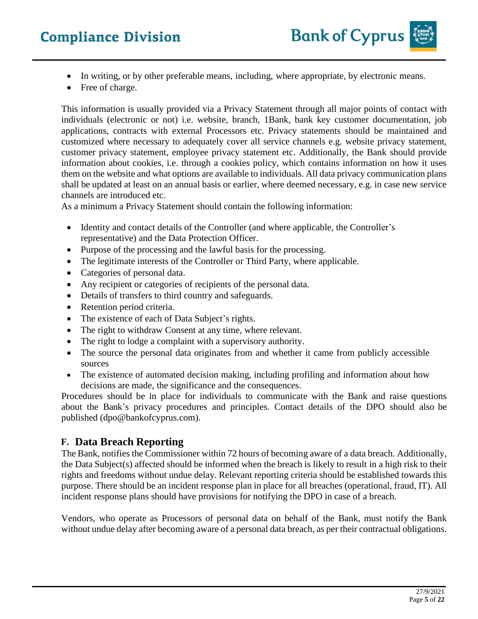- In writing, or by other preferable means, including, where appropriate, by electronic means.
- Free of charge.

This information is usually provided via a Privacy Statement through all major points of contact with individuals (electronic or not) i.e. website, branch, 1Bank, bank key customer documentation, job applications, contracts with external Processors etc. Privacy statements should be maintained and customized where necessary to adequately cover all service channels e.g. website privacy statement, customer privacy statement, employee privacy statement etc. Additionally, the Bank should provide information about cookies, i.e. through a cookies policy, which contains information on how it uses them on the website and what options are available to individuals. All data privacy communication plans shall be updated at least on an annual basis or earlier, where deemed necessary, e.g. in case new service channels are introduced etc.

As a minimum a Privacy Statement should contain the following information:

- Identity and contact details of the Controller (and where applicable, the Controller's representative) and the Data Protection Officer.
- Purpose of the processing and the lawful basis for the processing.
- The legitimate interests of the Controller or Third Party, where applicable.
- Categories of personal data.
- Any recipient or categories of recipients of the personal data.
- Details of transfers to third country and safeguards.
- Retention period criteria.
- The existence of each of Data Subject's rights.
- The right to withdraw Consent at any time, where relevant.
- The right to lodge a complaint with a supervisory authority.
- The source the personal data originates from and whether it came from publicly accessible sources
- The existence of automated decision making, including profiling and information about how decisions are made, the significance and the consequences.

Procedures should be in place for individuals to communicate with the Bank and raise questions about the Bank's privacy procedures and principles. Contact details of the DPO should also be published (dpo@bankofcyprus.com).

## **F. Data Breach Reporting**

The Bank, notifies the Commissioner within 72 hours of becoming aware of a data breach. Additionally, the Data Subject(s) affected should be informed when the breach is likely to result in a high risk to their rights and freedoms without undue delay. Relevant reporting criteria should be established towards this purpose. There should be an incident response plan in place for all breaches (operational, fraud, IT). All incident response plans should have provisions for notifying the DPO in case of a breach.

Vendors, who operate as Processors of personal data on behalf of the Bank, must notify the Bank without undue delay after becoming aware of a personal data breach, as per their contractual obligations.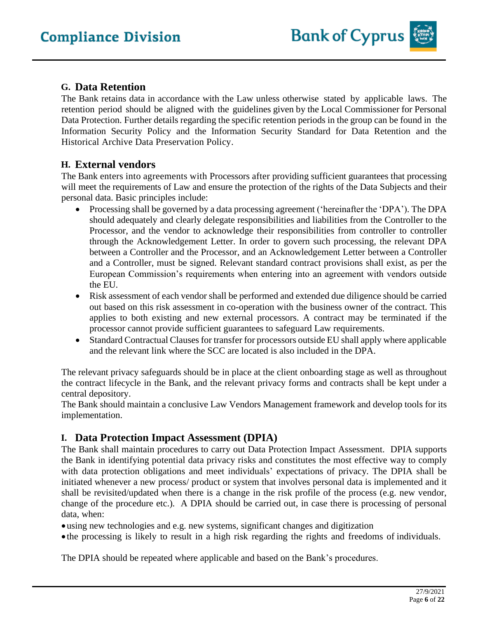## **G. Data Retention**

The Bank retains data in accordance with the Law unless otherwise stated by applicable laws. The retention period should be aligned with the guidelines given by the Local Commissioner for Personal Data Protection. Further details regarding the specific retention periods in the group can be found in the Information Security Policy and the Information Security Standard for Data Retention and the Historical Archive Data Preservation Policy.

## **H. External vendors**

The Bank enters into agreements with Processors after providing sufficient guarantees that processing will meet the requirements of Law and ensure the protection of the rights of the Data Subjects and their personal data. Basic principles include:

- Processing shall be governed by a data processing agreement ('hereinafter the 'DPA'). The DPA should adequately and clearly delegate responsibilities and liabilities from the Controller to the Processor, and the vendor to acknowledge their responsibilities from controller to controller through the Acknowledgement Letter. In order to govern such processing, the relevant DPA between a Controller and the Processor, and an Acknowledgement Letter between a Controller and a Controller, must be signed. Relevant standard contract provisions shall exist, as per the European Commission's requirements when entering into an agreement with vendors outside the EU.
- Risk assessment of each vendor shall be performed and extended due diligence should be carried out based on this risk assessment in co-operation with the business owner of the contract. This applies to both existing and new external processors. A contract may be terminated if the processor cannot provide sufficient guarantees to safeguard Law requirements.
- Standard Contractual Clauses for transfer for processors outside EU shall apply where applicable and the relevant link where the SCC are located is also included in the DPA.

The relevant privacy safeguards should be in place at the client onboarding stage as well as throughout the contract lifecycle in the Bank, and the relevant privacy forms and contracts shall be kept under a central depository.

The Bank should maintain a conclusive Law Vendors Management framework and develop tools for its implementation.

## **I. Data Protection Impact Assessment (DPIA)**

The Bank shall maintain procedures to carry out Data Protection Impact Assessment. DPIA supports the Bank in identifying potential data privacy risks and constitutes the most effective way to comply with data protection obligations and meet individuals' expectations of privacy. The DPIA shall be initiated whenever a new process/ product or system that involves personal data is implemented and it shall be revisited/updated when there is a change in the risk profile of the process (e.g. new vendor, change of the procedure etc.). A DPIA should be carried out, in case there is processing of personal data, when:

•using new technologies and e.g. new systems, significant changes and digitization

• the processing is likely to result in a high risk regarding the rights and freedoms of individuals.

The DPIA should be repeated where applicable and based on the Bank's procedures.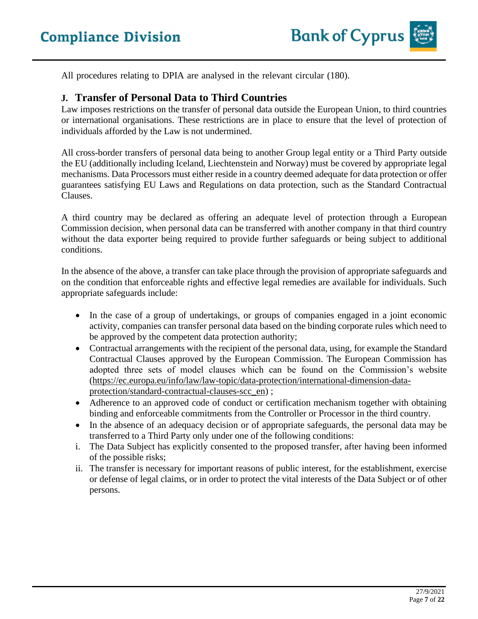All procedures relating to DPIA are analysed in the relevant circular (180).

## **J. Transfer of Personal Data to Third Countries**

Law imposes restrictions on the transfer of personal data outside the European Union, to third countries or international organisations. These restrictions are in place to ensure that the level of protection of individuals afforded by the Law is not undermined.

All cross-border transfers of personal data being to another Group legal entity or a Third Party outside the EU (additionally including Iceland, Liechtenstein and Norway) must be covered by appropriate legal mechanisms. Data Processors must either reside in a country deemed adequate for data protection or offer guarantees satisfying EU Laws and Regulations on data protection, such as the Standard Contractual Clauses.

A third country may be declared as offering an adequate level of protection through a European Commission decision, when personal data can be transferred with another company in that third country without the data exporter being required to provide further safeguards or being subject to additional conditions.

In the absence of the above, a transfer can take place through the provision of appropriate safeguards and on the condition that enforceable rights and effective legal remedies are available for individuals. Such appropriate safeguards include:

- In the case of a group of undertakings, or groups of companies engaged in a joint economic activity, companies can transfer personal data based on the binding corporate rules which need to be approved by the competent data protection authority;
- Contractual arrangements with the recipient of the personal data, using, for example the Standard Contractual Clauses approved by the European Commission. The European Commission has adopted three sets of model clauses which can be found on the Commission's website [\(https://ec.europa.eu/info/law/law-topic/data-protection/international-dimension-data](https://ec.europa.eu/info/law/law-topic/data-protection/international-dimension-data-protection/standard-contractual-clauses-scc_en)[protection/standard-contractual-clauses-scc\\_en\)](https://ec.europa.eu/info/law/law-topic/data-protection/international-dimension-data-protection/standard-contractual-clauses-scc_en) ;
- Adherence to an approved code of conduct or certification mechanism together with obtaining binding and enforceable commitments from the Controller or Processor in the third country.
- In the absence of an adequacy decision or of appropriate safeguards, the personal data may be transferred to a Third Party only under one of the following conditions:
- i. The Data Subject has explicitly consented to the proposed transfer, after having been informed of the possible risks;
- ii. The transfer is necessary for important reasons of public interest, for the establishment, exercise or defense of legal claims, or in order to protect the vital interests of the Data Subject or of other persons.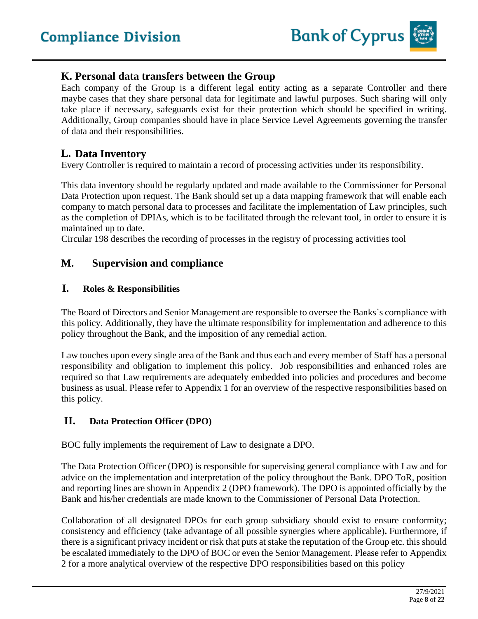## **K. Personal data transfers between the Group**

Each company of the Group is a different legal entity acting as a separate Controller and there maybe cases that they share personal data for legitimate and lawful purposes. Such sharing will only take place if necessary, safeguards exist for their protection which should be specified in writing. Additionally, Group companies should have in place Service Level Agreements governing the transfer of data and their responsibilities.

## **L. Data Inventory**

Every Controller is required to maintain a record of processing activities under its responsibility.

This data inventory should be regularly updated and made available to the Commissioner for Personal Data Protection upon request. The Bank should set up a data mapping framework that will enable each company to match personal data to processes and facilitate the implementation of Law principles, such as the completion of DPIAs, which is to be facilitated through the relevant tool, in order to ensure it is maintained up to date.

Circular 198 describes the recording of processes in the registry of processing activities tool

## **M. Supervision and compliance**

## **I. Roles & Responsibilities**

The Board of Directors and Senior Management are responsible to oversee the Banks`s compliance with this policy. Additionally, they have the ultimate responsibility for implementation and adherence to this policy throughout the Bank, and the imposition of any remedial action.

Law touches upon every single area of the Bank and thus each and every member of Staff has a personal responsibility and obligation to implement this policy. Job responsibilities and enhanced roles are required so that Law requirements are adequately embedded into policies and procedures and become business as usual. Please refer to Appendix 1 for an overview of the respective responsibilities based on this policy.

## **II. Data Protection Officer (DPO)**

BOC fully implements the requirement of Law to designate a DPO.

The Data Protection Officer (DPO) is responsible for supervising general compliance with Law and for advice on the implementation and interpretation of the policy throughout the Bank. DPO ToR, position and reporting lines are shown in Appendix 2 (DPO framework). The DPO is appointed officially by the Bank and his/her credentials are made known to the Commissioner of Personal Data Protection.

Collaboration of all designated DPOs for each group subsidiary should exist to ensure conformity; consistency and efficiency (take advantage of all possible synergies where applicable)**.** Furthermore, if there is a significant privacy incident or risk that puts at stake the reputation of the Group etc. this should be escalated immediately to the DPO of BOC or even the Senior Management. Please refer to Appendix 2 for a more analytical overview of the respective DPO responsibilities based on this policy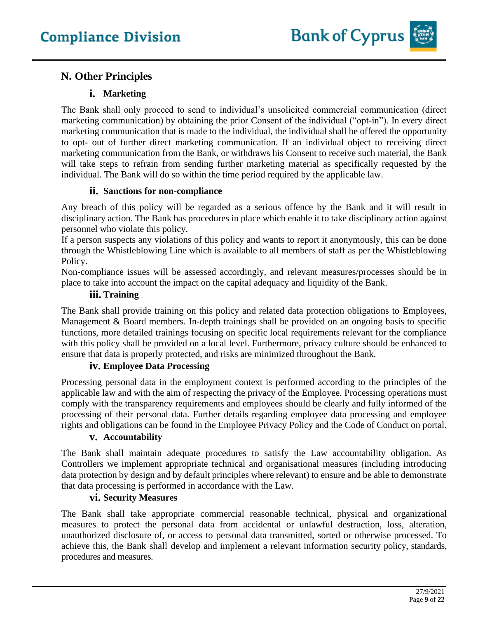## **N. Other Principles**

## **i. Marketing**

The Bank shall only proceed to send to individual's unsolicited commercial communication (direct marketing communication) by obtaining the prior Consent of the individual ("opt-in"). In every direct marketing communication that is made to the individual, the individual shall be offered the opportunity to opt- out of further direct marketing communication. If an individual object to receiving direct marketing communication from the Bank, or withdraws his Consent to receive such material, the Bank will take steps to refrain from sending further marketing material as specifically requested by the individual. The Bank will do so within the time period required by the applicable law.

## **ii. Sanctions for non-compliance**

Any breach of this policy will be regarded as a serious offence by the Bank and it will result in disciplinary action. The Bank has procedures in place which enable it to take disciplinary action against personnel who violate this policy.

If a person suspects any violations of this policy and wants to report it anonymously, this can be done through the Whistleblowing Line which is available to all members of staff as per the Whistleblowing Policy.

Non-compliance issues will be assessed accordingly, and relevant measures/processes should be in place to take into account the impact on the capital adequacy and liquidity of the Bank.

## **iii. Training**

The Bank shall provide training on this policy and related data protection obligations to Employees, Management & Board members. In-depth trainings shall be provided on an ongoing basis to specific functions, more detailed trainings focusing on specific local requirements relevant for the compliance with this policy shall be provided on a local level. Furthermore, privacy culture should be enhanced to ensure that data is properly protected, and risks are minimized throughout the Bank.

## **iv. Employee Data Processing**

Processing personal data in the employment context is performed according to the principles of the applicable law and with the aim of respecting the privacy of the Employee. Processing operations must comply with the transparency requirements and employees should be clearly and fully informed of the processing of their personal data. Further details regarding employee data processing and employee rights and obligations can be found in the Employee Privacy Policy and the Code of Conduct on portal.

## **v. Accountability**

The Bank shall maintain adequate procedures to satisfy the Law accountability obligation. As Controllers we implement appropriate technical and organisational measures (including introducing data protection by design and by default principles where relevant) to ensure and be able to demonstrate that data processing is performed in accordance with the Law.

## **vi. Security Measures**

The Bank shall take appropriate commercial reasonable technical, physical and organizational measures to protect the personal data from accidental or unlawful destruction, loss, alteration, unauthorized disclosure of, or access to personal data transmitted, sorted or otherwise processed. To achieve this, the Bank shall develop and implement a relevant information security policy, standards, procedures and measures.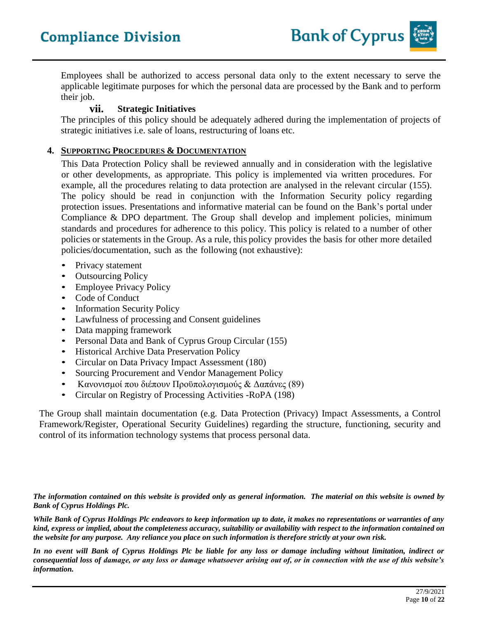Employees shall be authorized to access personal data only to the extent necessary to serve the applicable legitimate purposes for which the personal data are processed by the Bank and to perform their job.

## **vii. Strategic Initiatives**

The principles of this policy should be adequately adhered during the implementation of projects of strategic initiatives i.e. sale of loans, restructuring of loans etc.

#### **4. SUPPORTING PROCEDURES & DOCUMENTATION**

This Data Protection Policy shall be reviewed annually and in consideration with the legislative or other developments, as appropriate. This policy is implemented via written procedures. For example, all the procedures relating to data protection are analysed in the relevant circular (155). The policy should be read in conjunction with the Information Security policy regarding protection issues. Presentations and informative material can be found on the Bank's portal under Compliance & DPO department. The Group shall develop and implement policies, minimum standards and procedures for adherence to this policy. This policy is related to a number of other policies or statements in the Group. As a rule, this policy provides the basis for other more detailed policies/documentation, such as the following (not exhaustive):

- Privacy statement
- Outsourcing Policy
- Employee Privacy Policy
- Code of Conduct
- Information Security Policy
- Lawfulness of processing and Consent guidelines
- Data mapping framework
- Personal Data and Bank of Cyprus Group Circular (155)
- Historical Archive Data Preservation Policy
- Circular on Data Privacy Impact Assessment (180)
- Sourcing Procurement and Vendor Management Policy
- Κανονισμοί που διέπουν Προϋπολογισμούς & Δαπάνες (89)
- Circular on Registry of Processing Activities -RoPA (198)

The Group shall maintain documentation (e.g. Data Protection (Privacy) Impact Assessments, a Control Framework/Register, Operational Security Guidelines) regarding the structure, functioning, security and control of its information technology systems that process personal data.

*The information contained on this website is provided only as general information. The material on this website is owned by Bank of Cyprus Holdings Plc.*

*While Bank of Cyprus Holdings Plc endeavors to keep information up to date, it makes no representations or warranties of any kind, express or implied, about the completeness accuracy, suitability or availability with respect to the information contained on the website for any purpose. Any reliance you place on such information is therefore strictly at your own risk.* 

*In no event will Bank of Cyprus Holdings Plc be liable for any loss or damage including without limitation, indirect or consequential loss of damage, or any loss or damage whatsoever arising out of, or in connection with the use of this website's information.*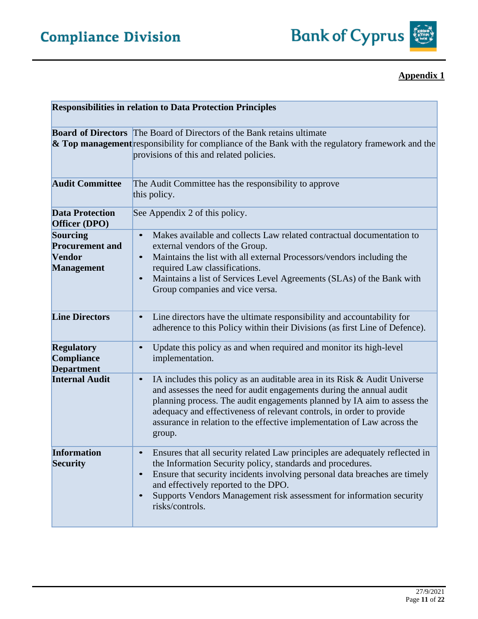

#### **Responsibilities in relation to Data Protection Principles Board of Directors** The Board of Directors of the Bank retains ultimate **& Top management** responsibility for compliance of the Bank with the regulatory framework and the provisions of this and related policies. Audit Committee **The Audit Committee has the responsibility to approve** this policy. **Data Protection Officer (DPO)** See Appendix 2 of this policy. **Sourcing Procurement and Vendor Management** • Makes available and collects Law related contractual documentation to external vendors of the Group. • Maintains the list with all external Processors/vendors including the required Law classifications. • Maintains a list of Services Level Agreements (SLAs) of the Bank with Group companies and vice versa. **Line Directors** • Line directors have the ultimate responsibility and accountability for adherence to this Policy within their Divisions (as first Line of Defence). **Regulatory Compliance Department** • Update this policy as and when required and monitor its high-level implementation. **Internal Audit** • IA includes this policy as an auditable area in its Risk & Audit Universe and assesses the need for audit engagements during the annual audit planning process. The audit engagements planned by IA aim to assess the adequacy and effectiveness of relevant controls, in order to provide assurance in relation to the effective implementation of Law across the group. **Information Security** • Ensures that all security related Law principles are adequately reflected in the Information Security policy, standards and procedures. • Ensure that security incidents involving personal data breaches are timely and effectively reported to the DPO. • Supports Vendors Management risk assessment for information security risks/controls.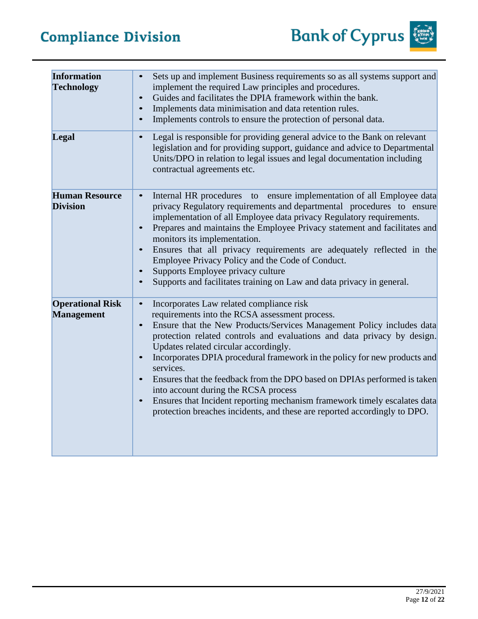Bank of Cyprus

| <b>Information</b><br><b>Technology</b>      | Sets up and implement Business requirements so as all systems support and<br>$\bullet$<br>implement the required Law principles and procedures.<br>Guides and facilitates the DPIA framework within the bank.<br>$\bullet$<br>Implements data minimisation and data retention rules.<br>$\bullet$<br>Implements controls to ensure the protection of personal data.<br>$\bullet$                                                                                                                                                                                                                                                                                                                                                 |
|----------------------------------------------|----------------------------------------------------------------------------------------------------------------------------------------------------------------------------------------------------------------------------------------------------------------------------------------------------------------------------------------------------------------------------------------------------------------------------------------------------------------------------------------------------------------------------------------------------------------------------------------------------------------------------------------------------------------------------------------------------------------------------------|
| Legal                                        | Legal is responsible for providing general advice to the Bank on relevant<br>$\bullet$<br>legislation and for providing support, guidance and advice to Departmental<br>Units/DPO in relation to legal issues and legal documentation including<br>contractual agreements etc.                                                                                                                                                                                                                                                                                                                                                                                                                                                   |
| <b>Human Resource</b><br><b>Division</b>     | Internal HR procedures to ensure implementation of all Employee data<br>$\bullet$<br>privacy Regulatory requirements and departmental procedures to ensure<br>implementation of all Employee data privacy Regulatory requirements.<br>Prepares and maintains the Employee Privacy statement and facilitates and<br>$\bullet$<br>monitors its implementation.<br>Ensures that all privacy requirements are adequately reflected in the<br>$\bullet$<br>Employee Privacy Policy and the Code of Conduct.<br>Supports Employee privacy culture<br>$\bullet$<br>Supports and facilitates training on Law and data privacy in general.                                                                                                |
| <b>Operational Risk</b><br><b>Management</b> | Incorporates Law related compliance risk<br>$\bullet$<br>requirements into the RCSA assessment process.<br>Ensure that the New Products/Services Management Policy includes data<br>$\bullet$<br>protection related controls and evaluations and data privacy by design.<br>Updates related circular accordingly.<br>Incorporates DPIA procedural framework in the policy for new products and<br>$\bullet$<br>services.<br>Ensures that the feedback from the DPO based on DPIAs performed is taken<br>$\bullet$<br>into account during the RCSA process<br>Ensures that Incident reporting mechanism framework timely escalates data<br>$\bullet$<br>protection breaches incidents, and these are reported accordingly to DPO. |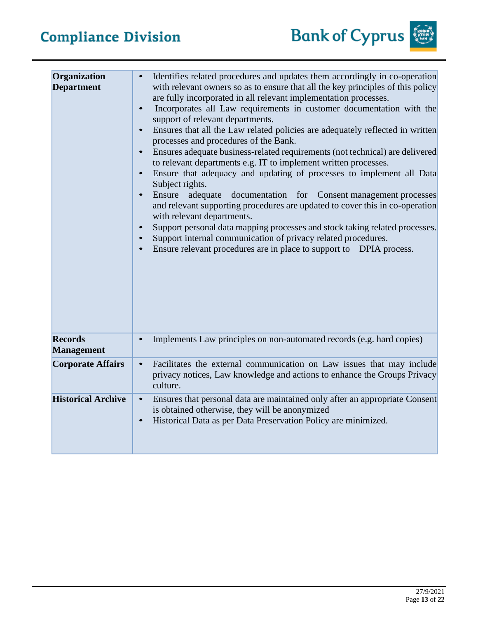| Organization<br><b>Department</b>   | Identifies related procedures and updates them accordingly in co-operation<br>with relevant owners so as to ensure that all the key principles of this policy<br>are fully incorporated in all relevant implementation processes.<br>Incorporates all Law requirements in customer documentation with the<br>$\bullet$<br>support of relevant departments.<br>Ensures that all the Law related policies are adequately reflected in written<br>$\bullet$<br>processes and procedures of the Bank.<br>Ensures adequate business-related requirements (not technical) are delivered<br>$\bullet$<br>to relevant departments e.g. IT to implement written processes.<br>Ensure that adequacy and updating of processes to implement all Data<br>$\bullet$<br>Subject rights.<br>Ensure<br>adequate<br>documentation for Consent management processes<br>$\bullet$<br>and relevant supporting procedures are updated to cover this in co-operation<br>with relevant departments.<br>Support personal data mapping processes and stock taking related processes.<br>$\bullet$<br>Support internal communication of privacy related procedures.<br>Ensure relevant procedures are in place to support to DPIA process. |
|-------------------------------------|------------------------------------------------------------------------------------------------------------------------------------------------------------------------------------------------------------------------------------------------------------------------------------------------------------------------------------------------------------------------------------------------------------------------------------------------------------------------------------------------------------------------------------------------------------------------------------------------------------------------------------------------------------------------------------------------------------------------------------------------------------------------------------------------------------------------------------------------------------------------------------------------------------------------------------------------------------------------------------------------------------------------------------------------------------------------------------------------------------------------------------------------------------------------------------------------------------------|
| <b>Records</b><br><b>Management</b> | Implements Law principles on non-automated records (e.g. hard copies)                                                                                                                                                                                                                                                                                                                                                                                                                                                                                                                                                                                                                                                                                                                                                                                                                                                                                                                                                                                                                                                                                                                                            |
| <b>Corporate Affairs</b>            | Facilitates the external communication on Law issues that may include<br>$\bullet$<br>privacy notices, Law knowledge and actions to enhance the Groups Privacy<br>culture.                                                                                                                                                                                                                                                                                                                                                                                                                                                                                                                                                                                                                                                                                                                                                                                                                                                                                                                                                                                                                                       |
| <b>Historical Archive</b>           | Ensures that personal data are maintained only after an appropriate Consent<br>$\bullet$<br>is obtained otherwise, they will be anonymized<br>Historical Data as per Data Preservation Policy are minimized.<br>$\bullet$                                                                                                                                                                                                                                                                                                                                                                                                                                                                                                                                                                                                                                                                                                                                                                                                                                                                                                                                                                                        |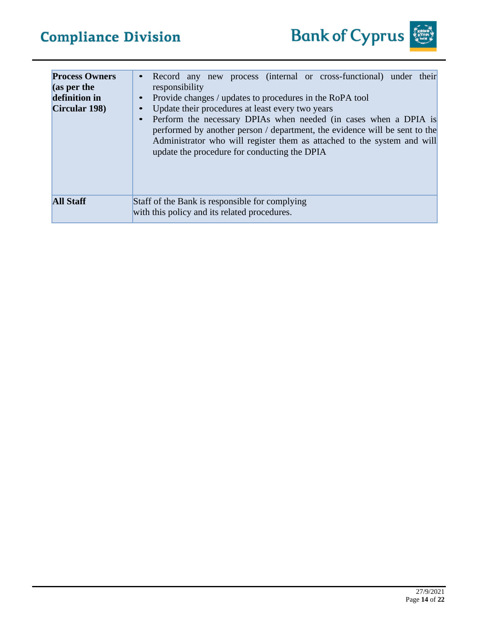| <b>Process Owners</b><br>$\alpha$ (as per the<br>definition in<br>Circular 198) | Record any new process (internal or cross-functional) under their<br>$\bullet$<br>responsibility<br>Provide changes / updates to procedures in the RoPA tool<br>$\bullet$<br>Update their procedures at least every two years<br>Perform the necessary DPIAs when needed (in cases when a DPIA is<br>$\bullet$<br>performed by another person / department, the evidence will be sent to the<br>Administrator who will register them as attached to the system and will<br>update the procedure for conducting the DPIA |
|---------------------------------------------------------------------------------|-------------------------------------------------------------------------------------------------------------------------------------------------------------------------------------------------------------------------------------------------------------------------------------------------------------------------------------------------------------------------------------------------------------------------------------------------------------------------------------------------------------------------|
| <b>All Staff</b>                                                                | Staff of the Bank is responsible for complying<br>with this policy and its related procedures.                                                                                                                                                                                                                                                                                                                                                                                                                          |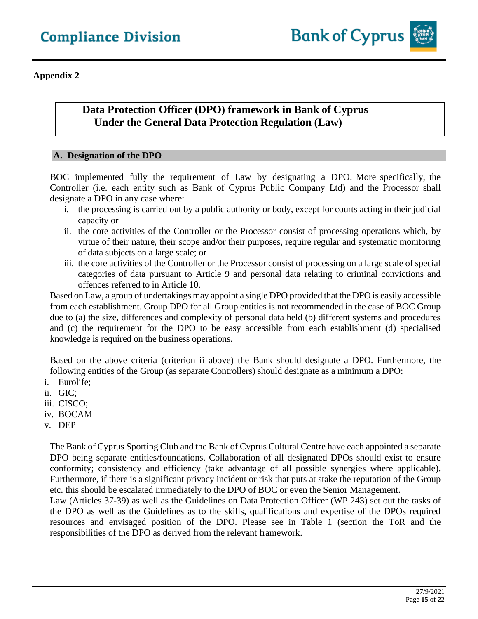**Appendix 2**

## **Data Protection Officer (DPO) framework in Bank of Cyprus Under the General Data Protection Regulation (Law)**

#### **A. Designation of the DPO**

BOC implemented fully the requirement of Law by designating a DPO. More specifically, the Controller (i.e. each entity such as Bank of Cyprus Public Company Ltd) and the Processor shall designate a DPO in any case where:

- i. the processing is carried out by a public authority or body, except for courts acting in their judicial capacity or
- ii. the core activities of the Controller or the Processor consist of processing operations which, by virtue of their nature, their scope and/or their purposes, require regular and systematic monitoring of data subjects on a large scale; or
- iii. the core activities of the Controller or the Processor consist of processing on a large scale of special categories of data pursuant to [Article 9 a](https://gdpr-info.eu/art-9-gdpr/)nd personal data relating to criminal convictions and offences referr[ed to in Article 10.](https://gdpr-info.eu/art-10-gdpr/)

Based on Law, a group of undertakings may appoint a single DPO provided that the DPO is easily accessible from each establishment. Group DPO for all Group entities is not recommended in the case of BOC Group due to (a) the size, differences and complexity of personal data held (b) different systems and procedures and (c) the requirement for the DPO to be easy accessible from each establishment (d) specialised knowledge is required on the business operations.

Based on the above criteria (criterion ii above) the Bank should designate a DPO. Furthermore, the following entities of the Group (as separate Controllers) should designate as a minimum a DPO:

- i. Eurolife;
- ii. GIC;
- iii. CISCO;
- iv. BOCAM
- v. DEP

The Bank of Cyprus Sporting Club and the Bank of Cyprus Cultural Centre have each appointed a separate DPO being separate entities/foundations. Collaboration of all designated DPOs should exist to ensure conformity; consistency and efficiency (take advantage of all possible synergies where applicable). Furthermore, if there is a significant privacy incident or risk that puts at stake the reputation of the Group etc. this should be escalated immediately to the DPO of BOC or even the Senior Management.

Law (Articles 37-39) as well as the Guidelines on Data Protection Officer (WP 243) set out the tasks of the DPO as well as the Guidelines as to the skills, qualifications and expertise of the DPOs required resources and envisaged position of the DPO. Please see in Table 1 (section the ToR and the responsibilities of the DPO as derived from the relevant framework.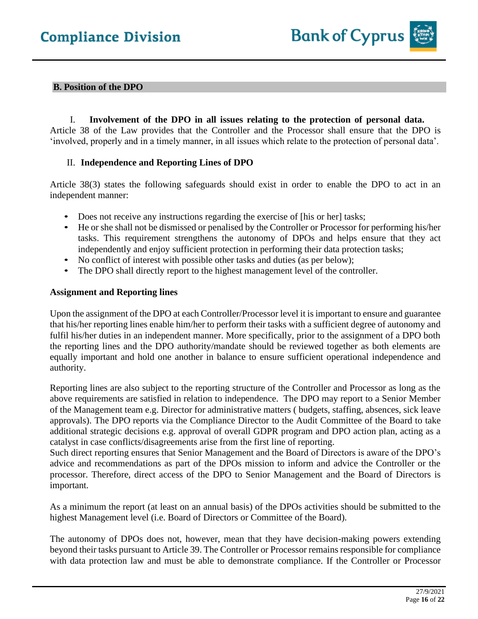#### **B. Position of the DPO**

I. **Involvement of the DPO in all issues relating to the protection of personal data.** Article 38 of the Law provides that the Controller and the Processor shall ensure that the DPO is 'involved, properly and in a timely manner, in all issues which relate to the protection of personal data'.

#### II. **Independence and Reporting Lines of DPO**

Article 38(3) states the following safeguards should exist in order to enable the DPO to act in an independent manner:

- Does not receive any instructions regarding the exercise of [his or her] tasks;
- He or she shall not be dismissed or penalised by the Controller or Processor for performing his/her tasks. This requirement strengthens the autonomy of DPOs and helps ensure that they act independently and enjoy sufficient protection in performing their data protection tasks;
- No conflict of interest with possible other tasks and duties (as per below);
- The DPO shall directly report to the highest management level of the controller.

#### **Assignment and Reporting lines**

Upon the assignment of the DPO at each Controller/Processor level it is important to ensure and guarantee that his/her reporting lines enable him/her to perform their tasks with a sufficient degree of autonomy and fulfil his/her duties in an independent manner. More specifically, prior to the assignment of a DPO both the reporting lines and the DPO authority/mandate should be reviewed together as both elements are equally important and hold one another in balance to ensure sufficient operational independence and authority.

Reporting lines are also subject to the reporting structure of the Controller and Processor as long as the above requirements are satisfied in relation to independence. The DPO may report to a Senior Member of the Management team e.g. Director for administrative matters ( budgets, staffing, absences, sick leave approvals). The DPO reports via the Compliance Director to the Audit Committee of the Board to take additional strategic decisions e.g. approval of overall GDPR program and DPO action plan, acting as a catalyst in case conflicts/disagreements arise from the first line of reporting.

Such direct reporting ensures that Senior Management and the Board of Directors is aware of the DPO's advice and recommendations as part of the DPOs mission to inform and advice the Controller or the processor. Therefore, direct access of the DPO to Senior Management and the Board of Directors is important.

As a minimum the report (at least on an annual basis) of the DPOs activities should be submitted to the highest Management level (i.e. Board of Directors or Committee of the Board).

The autonomy of DPOs does not, however, mean that they have decision-making powers extending beyond their tasks pursuant to Article 39. The Controller or Processor remains responsible for compliance with data protection law and must be able to demonstrate compliance. If the Controller or Processor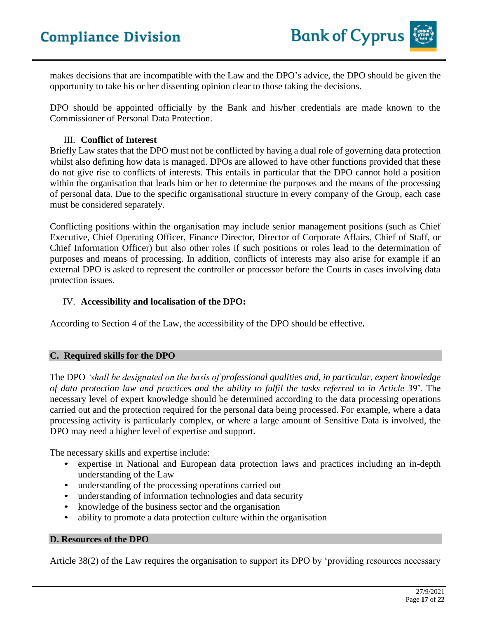makes decisions that are incompatible with the Law and the DPO's advice, the DPO should be given the opportunity to take his or her dissenting opinion clear to those taking the decisions.

DPO should be appointed officially by the Bank and his/her credentials are made known to the Commissioner of Personal Data Protection.

#### III. **Conflict of Interest**

Briefly Law states that the DPO must not be conflicted by having a dual role of governing data protection whilst also defining how data is managed. DPOs are allowed to have other functions provided that these do not give rise to conflicts of interests. This entails in particular that the DPO cannot hold a position within the organisation that leads him or her to determine the purposes and the means of the processing of personal data. Due to the specific organisational structure in every company of the Group, each case must be considered separately.

Conflicting positions within the organisation may include senior management positions (such as Chief Executive, Chief Operating Officer, Finance Director, Director of Corporate Affairs, Chief of Staff, or Chief Information Officer) but also other roles if such positions or roles lead to the determination of purposes and means of processing. In addition, conflicts of interests may also arise for example if an external DPO is asked to represent the controller or processor before the Courts in cases involving data protection issues.

#### IV. **Accessibility and localisation of the DPO:**

According to Section 4 of the Law, the accessibility of the DPO should be effective**.**

#### **C. Required skills for the DPO**

The DPO *'shall be designated on the basis of professional qualities and, in particular, expert knowledge of data protection law and practices and the ability to fulfil the tasks referred to in Article 39*'. The necessary level of expert knowledge should be determined according to the data processing operations carried out and the protection required for the personal data being processed. For example, where a data processing activity is particularly complex, or where a large amount of Sensitive Data is involved, the DPO may need a higher level of expertise and support.

The necessary skills and expertise include:

- expertise in National and European data protection laws and practices including an in-depth understanding of the Law
- understanding of the processing operations carried out
- understanding of information technologies and data security
- knowledge of the business sector and the organisation
- ability to promote a data protection culture within the organisation

#### **D. Resources of the DPO**

Article 38(2) of the Law requires the organisation to support its DPO by 'providing resources necessary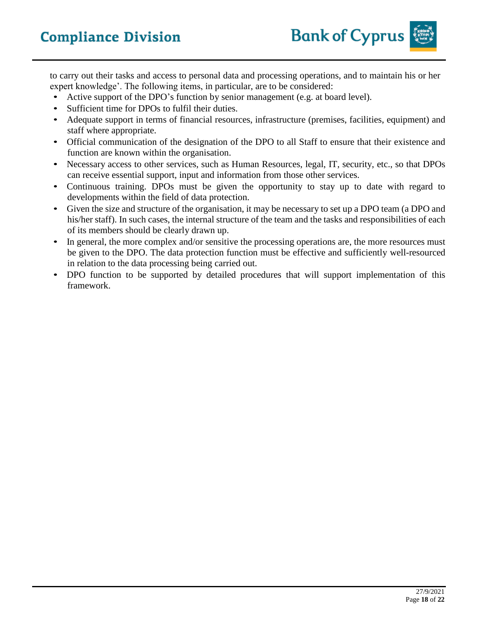to carry out their tasks and access to personal data and processing operations, and to maintain his or her expert knowledge'. The following items, in particular, are to be considered:

- Active support of the DPO's function by senior management (e.g. at board level).
- Sufficient time for DPOs to fulfil their duties.
- Adequate support in terms of financial resources, infrastructure (premises, facilities, equipment) and staff where appropriate.
- Official communication of the designation of the DPO to all Staff to ensure that their existence and function are known within the organisation.
- Necessary access to other services, such as Human Resources, legal, IT, security, etc., so that DPOs can receive essential support, input and information from those other services.
- Continuous training. DPOs must be given the opportunity to stay up to date with regard to developments within the field of data protection.
- Given the size and structure of the organisation, it may be necessary to set up a DPO team (a DPO and his/her staff). In such cases, the internal structure of the team and the tasks and responsibilities of each of its members should be clearly drawn up.
- In general, the more complex and/or sensitive the processing operations are, the more resources must be given to the DPO. The data protection function must be effective and sufficiently well-resourced in relation to the data processing being carried out.
- DPO function to be supported by detailed procedures that will support implementation of this framework.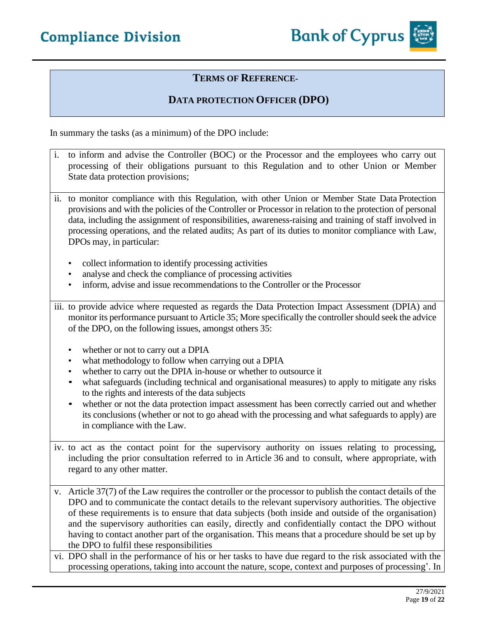

## **DATA PROTECTION OFFICER (DPO)**

In summary the tasks (as a minimum) of the DPO include:

- i. to inform and advise the Controller (BOC) or the Processor and the employees who carry out processing of their obligations pursuant to this Regulation and to other Union or Member State data protection provisions;
- ii. to monitor compliance with this Regulation, with other Union or Member State Data Protection provisions and with the policies of the Controller or Processor in relation to the protection of personal data, including the assignment of responsibilities, awareness-raising and training of staff involved in processing operations, and the related audits; As part of its duties to monitor compliance with Law, DPOs may, in particular:
	- collect information to identify processing activities
	- analyse and check the compliance of processing activities
	- inform, advise and issue recommendations to the Controller or the Processor
- iii. to provide advice where requested as regards the Data Protection Impact Assessment (DPIA) and monitor its performance pursuant to Article 35; More specifically the controller should seek the advice of the DPO, on the following issues, amongst others 35:
	- whether or not to carry out a DPIA
	- what methodology to follow when carrying out a DPIA
	- whether to carry out the DPIA in-house or whether to outsource it
	- what safeguards (including technical and organisational measures) to apply to mitigate any risks to the rights and interests of the data subjects
	- whether or not the data protection impact assessment has been correctly carried out and whether its conclusions (whether or not to go ahead with the processing and what safeguards to apply) are in compliance with the Law.
- iv. to act as the contact point for the supervisory authority on issues relating to processing, including the prior consultation referred to in Article 36 and to consult, where appropriate, with regard to any other matter.

v. Article 37(7) of the Law requires the controller or the processor to publish the contact details of the DPO and to communicate the contact details to the relevant supervisory authorities. The objective of these requirements is to ensure that data subjects (both inside and outside of the organisation) and the supervisory authorities can easily, directly and confidentially contact the DPO without having to contact another part of the organisation. This means that a procedure should be set up by the DPO to fulfil these responsibilities

vi. DPO shall in the performance of his or her tasks to have due regard to the risk associated with the processing operations, taking into account the nature, scope, context and purposes of processing'. In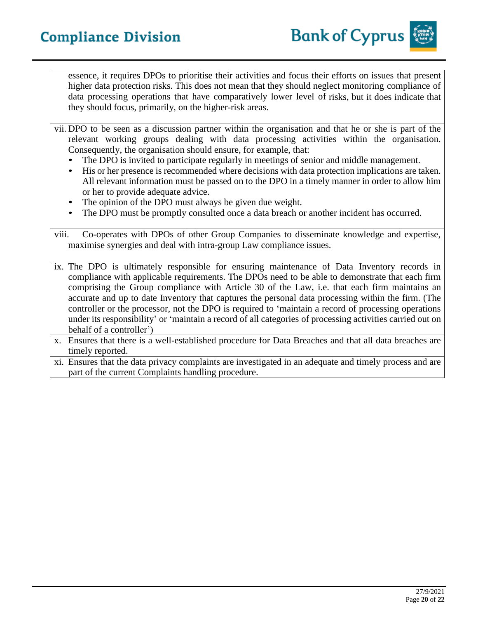

essence, it requires DPOs to prioritise their activities and focus their efforts on issues that present higher data protection risks. This does not mean that they should neglect monitoring compliance of data processing operations that have comparatively lower level of risks, but it does indicate that they should focus, primarily, on the higher-risk areas.

- vii. DPO to be seen as a discussion partner within the organisation and that he or she is part of the relevant working groups dealing with data processing activities within the organisation. Consequently, the organisation should ensure, for example, that:
	- The DPO is invited to participate regularly in meetings of senior and middle management.
	- His or her presence is recommended where decisions with data protection implications are taken. All relevant information must be passed on to the DPO in a timely manner in order to allow him or her to provide adequate advice.
	- The opinion of the DPO must always be given due weight.
	- The DPO must be promptly consulted once a data breach or another incident has occurred.

viii. Co-operates with DPOs of other Group Companies to disseminate knowledge and expertise, maximise synergies and deal with intra-group Law compliance issues.

- ix. The DPO is ultimately responsible for ensuring maintenance of Data Inventory records in compliance with applicable requirements. The DPOs need to be able to demonstrate that each firm comprising the Group compliance with Article 30 of the Law, i.e. that each firm maintains an accurate and up to date Inventory that captures the personal data processing within the firm. (The controller or the processor, not the DPO is required to 'maintain a record of processing operations under its responsibility' or 'maintain a record of all categories of processing activities carried out on behalf of a controller')
- x. Ensures that there is a well-established procedure for Data Breaches and that all data breaches are timely reported.
- xi. Ensures that the data privacy complaints are investigated in an adequate and timely process and are part of the current Complaints handling procedure.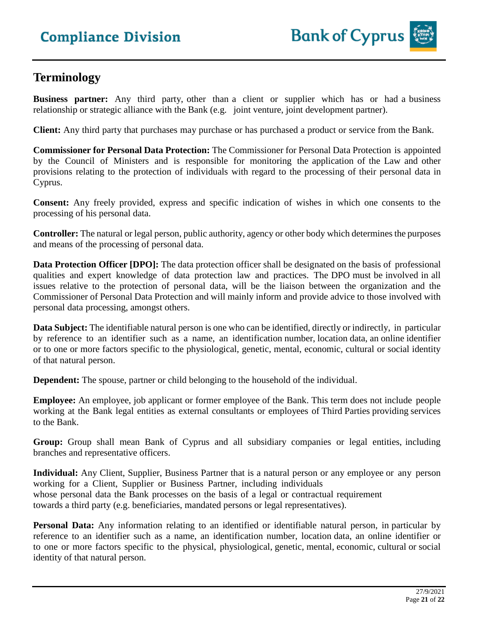## **Terminology**

**Business partner:** Any third party, other than a client or supplier which has or had a business relationship or strategic alliance with the Bank (e.g. joint venture, joint development partner).

**Client:** Any third party that purchases may purchase or has purchased a product or service from the Bank.

**Commissioner for Personal Data Protection:** The Commissioner for Personal Data Protection is appointed by the Council of Ministers and is responsible for monitoring the application of the Law and other provisions relating to the protection of individuals with regard to the processing of their personal data in Cyprus.

**Consent:** Any freely provided, express and specific indication of wishes in which one consents to the processing of his personal data.

**Controller:** The natural or legal person, public authority, agency or other body which determines the purposes and means of the processing of personal data.

**Data Protection Officer [DPO]:** The data protection officer shall be designated on the basis of professional qualities and expert knowledge of data protection law and practices. The DPO must be involved in all issues relative to the protection of personal data, will be the liaison between the organization and the Commissioner of Personal Data Protection and will mainly inform and provide advice to those involved with personal data processing, amongst others.

**Data** Subject: The identifiable natural person is one who can be identified, directly or indirectly, in particular by reference to an identifier such as a name, an identification number, location data, an online identifier or to one or more factors specific to the physiological, genetic, mental, economic, cultural or social identity of that natural person.

**Dependent:** The spouse, partner or child belonging to the household of the individual.

**Employee:** An employee, job applicant or former employee of the Bank. This term does not include people working at the Bank legal entities as external consultants or employees of Third Parties providing services to the Bank.

**Group:** Group shall mean Bank of Cyprus and all subsidiary companies or legal entities, including branches and representative officers.

**Individual:** Any Client, Supplier, Business Partner that is a natural person or any employee or any person working for a Client, Supplier or Business Partner, including individuals whose personal data the Bank processes on the basis of a legal or contractual requirement towards a third party (e.g. beneficiaries, mandated persons or legal representatives).

**Personal Data:** Any information relating to an identified or identifiable natural person, in particular by reference to an identifier such as a name, an identification number, location data, an online identifier or to one or more factors specific to the physical, physiological, genetic, mental, economic, cultural or social identity of that natural person.